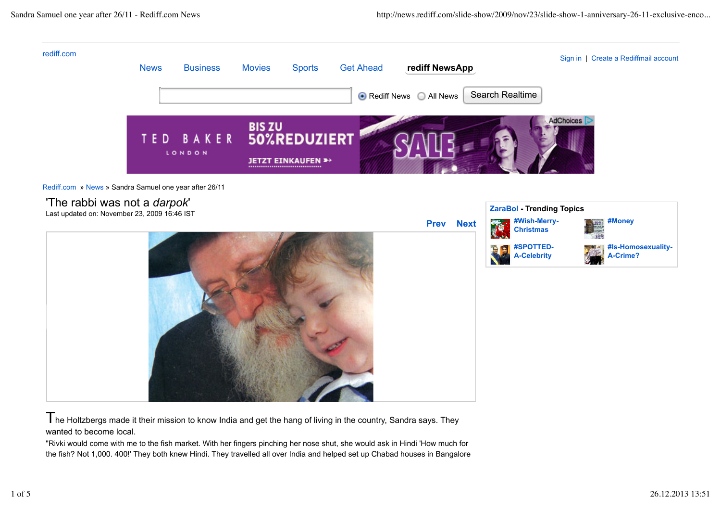

 $T$ he Holtzbergs made it their mission to know India and get the hang of living in the country, Sandra says. They wanted to become local.

"Rivki would come with me to the fish market. With her fingers pinching her nose shut, she would ask in Hindi 'How much for the fish? Not 1,000. 400!' They both knew Hindi. They travelled all over India and helped set up Chabad houses in Bangalore